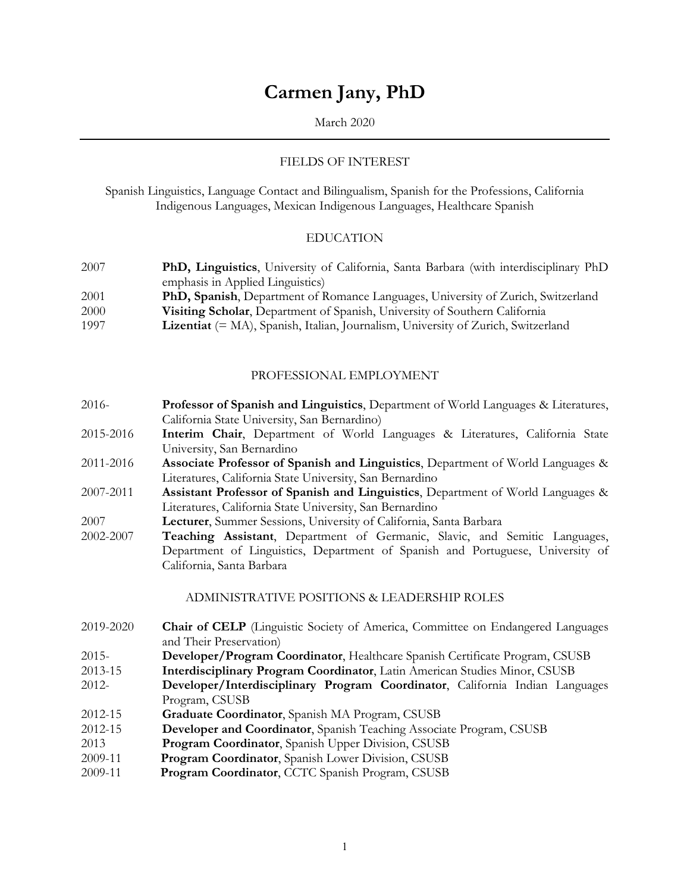# **Carmen Jany, PhD**

## March 2020

## FIELDS OF INTEREST

Spanish Linguistics, Language Contact and Bilingualism, Spanish for the Professions, California Indigenous Languages, Mexican Indigenous Languages, Healthcare Spanish

#### EDUCATION

- 2007 **PhD, Linguistics**, University of California, Santa Barbara (with interdisciplinary PhD emphasis in Applied Linguistics)
- 2001 **PhD, Spanish**, Department of Romance Languages, University of Zurich, Switzerland
- 2000 **Visiting Scholar**, Department of Spanish, University of Southern California
- 1997 **Lizentiat** (= MA), Spanish, Italian, Journalism, University of Zurich, Switzerland

## PROFESSIONAL EMPLOYMENT

- 2016- **Professor of Spanish and Linguistics**, Department of World Languages & Literatures, California State University, San Bernardino)
- 2015-2016 **Interim Chair**, Department of World Languages & Literatures, California State University, San Bernardino
- 2011-2016 **Associate Professor of Spanish and Linguistics**, Department of World Languages & Literatures, California State University, San Bernardino
- 2007-2011 **Assistant Professor of Spanish and Linguistics**, Department of World Languages & Literatures, California State University, San Bernardino
- 2007 **Lecturer**, Summer Sessions, University of California, Santa Barbara
- 2002-2007 **Teaching Assistant**, Department of Germanic, Slavic, and Semitic Languages, Department of Linguistics, Department of Spanish and Portuguese, University of California, Santa Barbara

#### ADMINISTRATIVE POSITIONS & LEADERSHIP ROLES

- 2019-2020 **Chair of CELP** (Linguistic Society of America, Committee on Endangered Languages and Their Preservation)
- 2015- **Developer/Program Coordinator**, Healthcare Spanish Certificate Program, CSUSB
- 2013-15 **Interdisciplinary Program Coordinator**, Latin American Studies Minor, CSUSB
- 2012- **Developer/Interdisciplinary Program Coordinator**, California Indian Languages Program, CSUSB
- 2012-15 **Graduate Coordinator**, Spanish MA Program, CSUSB
- 2012-15 **Developer and Coordinator**, Spanish Teaching Associate Program, CSUSB
- 2013 **Program Coordinator**, Spanish Upper Division, CSUSB
- 2009-11 **Program Coordinator**, Spanish Lower Division, CSUSB
- 2009-11 **Program Coordinator**, CCTC Spanish Program, CSUSB